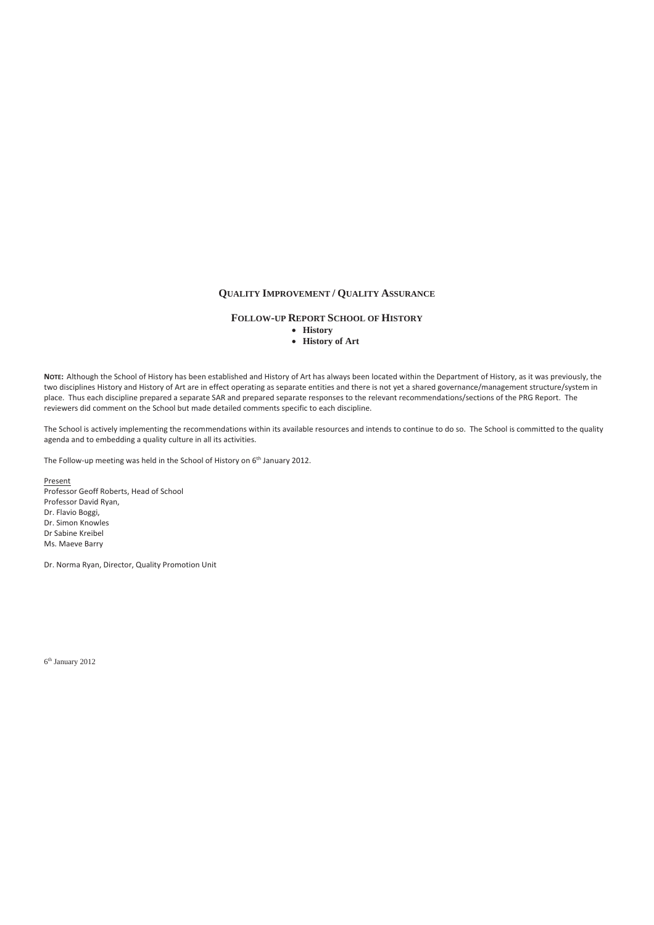## **QUALITY IMPROVEMENT / QUALITY ASSURANCE**

## **FOLLOW-UP REPORT SCHOOL OF HISTORY**

- **History**
- **History of Art**

**NOTE:**Although the School of History has been established and History of Art has always been located within the Department of History, as it was previously, the two disciplines History and History of Art are in effect operating as separate entities and there is not yet a shared governance/management structure/system in place. Thus each discipline prepared a separate SAR and prepared separate responses to the relevant recommendations/sections of the PRG Report. The reviewers did comment on the School but made detailed comments specific to each discipline.

The School is actively implementing the recommendations within its available resources and intends to continue to do so.The School is committed to the quality agenda and to embedding a quality culture in all its activities.

The Follow-up meeting was held in the School of History on 6<sup>th</sup> January 2012.

Present Professor Geoff Roberts, Head of School Professor David Ryan, Dr. Flavio Boggi, Dr. Simon Knowles Dr Sabine Kreibel Ms. Maeve Barry

Dr. Norma Ryan, Director, Quality Promotion Unit

6th January 2012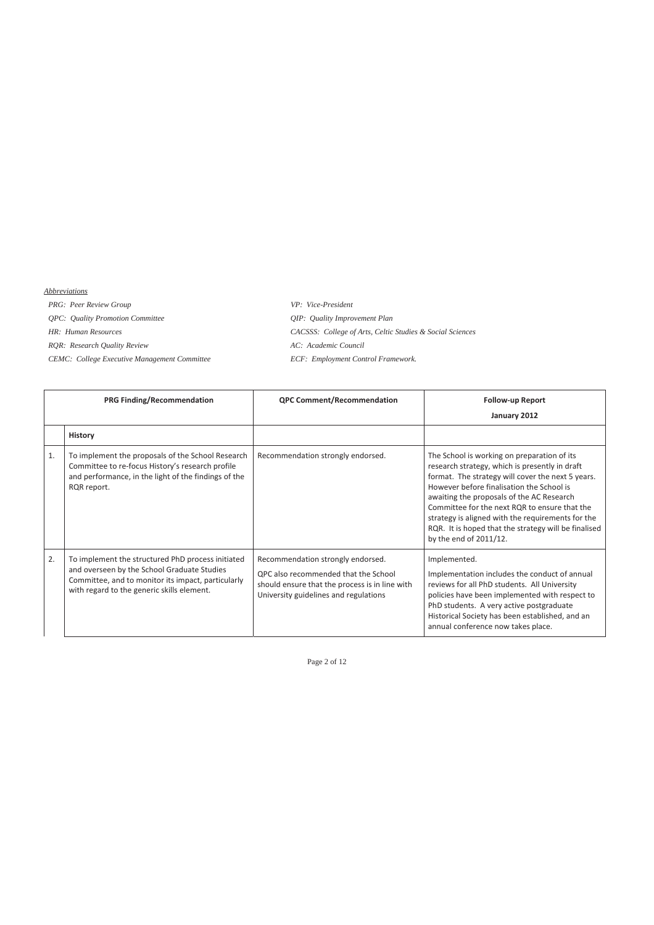## *Abbreviations*

*PRG: Peer Review Group VP: Vice-President QPC: Quality Promotion Committee QIP: Quality Improvement Plan* 

*HR: Human Resources CACSSS: College of Arts, Celtic Studies & Social Sciences RQR: Research Quality Review AC: Academic Council CEMC: College Executive Management Committee ECF: Employment Control Framework.* 

|    | <b>PRG Finding/Recommendation</b>                                                                                                                                                                    | <b>QPC Comment/Recommendation</b>                                                                                                                                    | <b>Follow-up Report</b><br>January 2012                                                                                                                                                                                                                                                                                                                                                                                              |
|----|------------------------------------------------------------------------------------------------------------------------------------------------------------------------------------------------------|----------------------------------------------------------------------------------------------------------------------------------------------------------------------|--------------------------------------------------------------------------------------------------------------------------------------------------------------------------------------------------------------------------------------------------------------------------------------------------------------------------------------------------------------------------------------------------------------------------------------|
|    | <b>History</b>                                                                                                                                                                                       |                                                                                                                                                                      |                                                                                                                                                                                                                                                                                                                                                                                                                                      |
| 1. | To implement the proposals of the School Research<br>Committee to re-focus History's research profile<br>and performance, in the light of the findings of the<br>RQR report.                         | Recommendation strongly endorsed.                                                                                                                                    | The School is working on preparation of its<br>research strategy, which is presently in draft<br>format. The strategy will cover the next 5 years.<br>However before finalisation the School is<br>awaiting the proposals of the AC Research<br>Committee for the next RQR to ensure that the<br>strategy is aligned with the requirements for the<br>RQR. It is hoped that the strategy will be finalised<br>by the end of 2011/12. |
| 2. | To implement the structured PhD process initiated<br>and overseen by the School Graduate Studies<br>Committee, and to monitor its impact, particularly<br>with regard to the generic skills element. | Recommendation strongly endorsed.<br>OPC also recommended that the School<br>should ensure that the process is in line with<br>University guidelines and regulations | Implemented.<br>Implementation includes the conduct of annual<br>reviews for all PhD students. All University<br>policies have been implemented with respect to<br>PhD students. A very active postgraduate<br>Historical Society has been established, and an<br>annual conference now takes place.                                                                                                                                 |

Page 2 of 12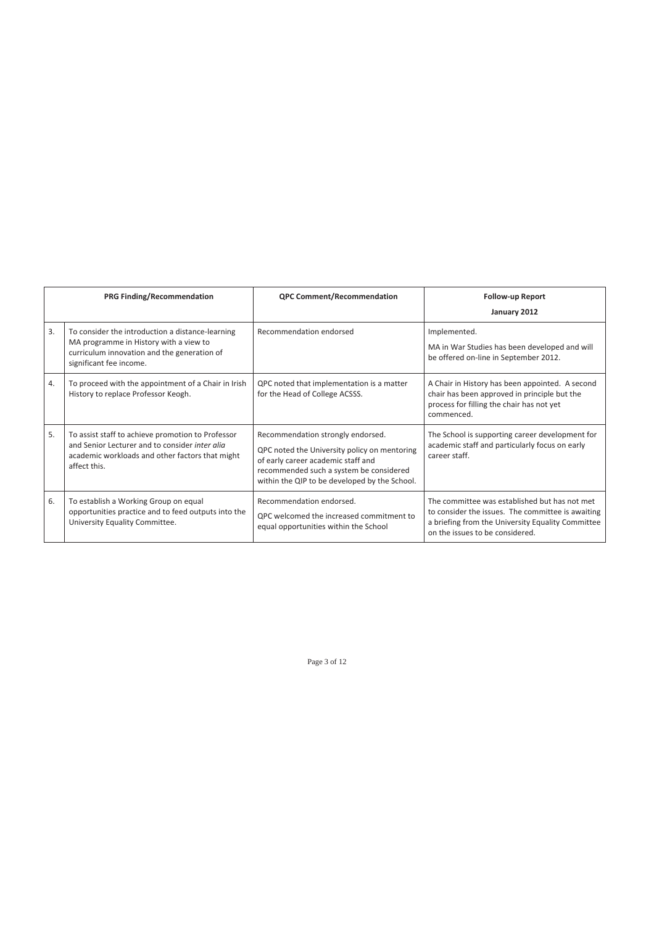|    | PRG Finding/Recommendation                                                                                                                                             | <b>QPC Comment/Recommendation</b>                                                                                                                                                                                   | <b>Follow-up Report</b><br>January 2012                                                                                                                                                    |
|----|------------------------------------------------------------------------------------------------------------------------------------------------------------------------|---------------------------------------------------------------------------------------------------------------------------------------------------------------------------------------------------------------------|--------------------------------------------------------------------------------------------------------------------------------------------------------------------------------------------|
| 3. | To consider the introduction a distance-learning<br>MA programme in History with a view to<br>curriculum innovation and the generation of<br>significant fee income.   | Recommendation endorsed                                                                                                                                                                                             | Implemented.<br>MA in War Studies has been developed and will<br>be offered on-line in September 2012.                                                                                     |
| 4. | To proceed with the appointment of a Chair in Irish<br>History to replace Professor Keogh.                                                                             | QPC noted that implementation is a matter<br>for the Head of College ACSSS.                                                                                                                                         | A Chair in History has been appointed. A second<br>chair has been approved in principle but the<br>process for filling the chair has not yet<br>commenced.                                 |
| 5. | To assist staff to achieve promotion to Professor<br>and Senior Lecturer and to consider inter glig<br>academic workloads and other factors that might<br>affect this. | Recommendation strongly endorsed.<br>QPC noted the University policy on mentoring<br>of early career academic staff and<br>recommended such a system be considered<br>within the QIP to be developed by the School. | The School is supporting career development for<br>academic staff and particularly focus on early<br>career staff.                                                                         |
| 6. | To establish a Working Group on equal<br>opportunities practice and to feed outputs into the<br>University Equality Committee.                                         | Recommendation endorsed.<br>QPC welcomed the increased commitment to<br>equal opportunities within the School                                                                                                       | The committee was established but has not met<br>to consider the issues. The committee is awaiting<br>a briefing from the University Equality Committee<br>on the issues to be considered. |

Page 3 of 12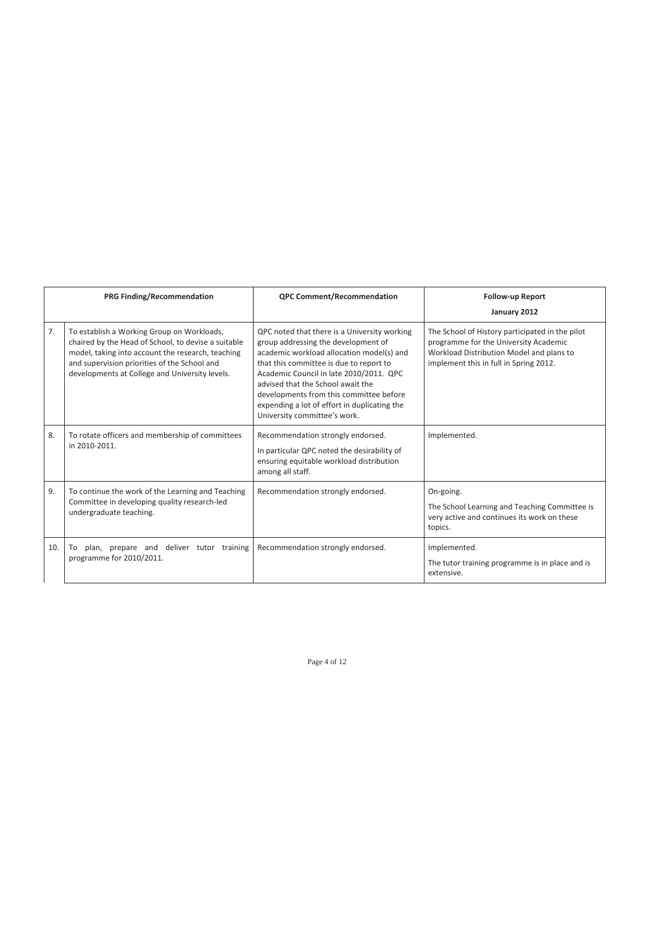|     | PRG Finding/Recommendation                                                                                                                                                                                                                               | <b>QPC Comment/Recommendation</b>                                                                                                                                                                                                                                                                                                                                                      | <b>Follow-up Report</b><br>January 2012                                                                                                                                        |
|-----|----------------------------------------------------------------------------------------------------------------------------------------------------------------------------------------------------------------------------------------------------------|----------------------------------------------------------------------------------------------------------------------------------------------------------------------------------------------------------------------------------------------------------------------------------------------------------------------------------------------------------------------------------------|--------------------------------------------------------------------------------------------------------------------------------------------------------------------------------|
| 7.  | To establish a Working Group on Workloads,<br>chaired by the Head of School, to devise a suitable<br>model, taking into account the research, teaching<br>and supervision priorities of the School and<br>developments at College and University levels. | QPC noted that there is a University working<br>group addressing the development of<br>academic workload allocation model(s) and<br>that this committee is due to report to<br>Academic Council in late 2010/2011. QPC<br>advised that the School await the<br>developments from this committee before<br>expending a lot of effort in duplicating the<br>University committee's work. | The School of History participated in the pilot<br>programme for the University Academic<br>Workload Distribution Model and plans to<br>implement this in full in Spring 2012. |
| 8.  | To rotate officers and membership of committees<br>in 2010-2011.                                                                                                                                                                                         | Recommendation strongly endorsed.<br>In particular QPC noted the desirability of<br>ensuring equitable workload distribution<br>among all staff.                                                                                                                                                                                                                                       | Implemented.                                                                                                                                                                   |
| 9.  | To continue the work of the Learning and Teaching<br>Committee in developing quality research-led<br>undergraduate teaching.                                                                                                                             | Recommendation strongly endorsed.                                                                                                                                                                                                                                                                                                                                                      | On-going.<br>The School Learning and Teaching Committee is<br>very active and continues its work on these<br>topics.                                                           |
| 10. | plan, prepare and deliver tutor training<br>To<br>programme for 2010/2011.                                                                                                                                                                               | Recommendation strongly endorsed.                                                                                                                                                                                                                                                                                                                                                      | Implemented.<br>The tutor training programme is in place and is<br>extensive.                                                                                                  |

Page 4 of 12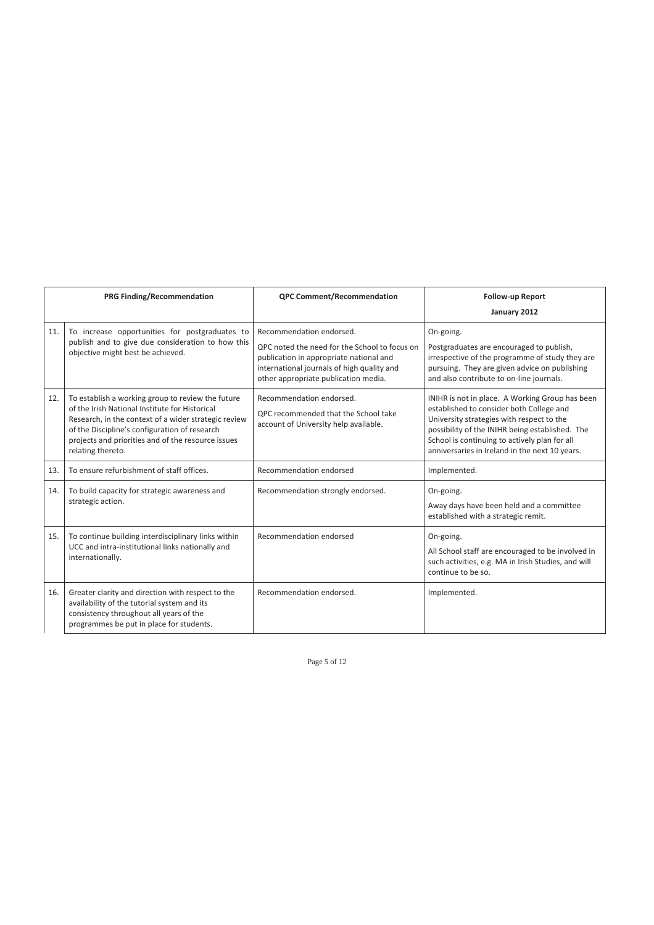|     | <b>PRG Finding/Recommendation</b>                                                                                                                                                                                                                                                       | <b>QPC Comment/Recommendation</b>                                                                                                                                              | <b>Follow-up Report</b><br>January 2012                                                                                                                                                                                                                                                        |
|-----|-----------------------------------------------------------------------------------------------------------------------------------------------------------------------------------------------------------------------------------------------------------------------------------------|--------------------------------------------------------------------------------------------------------------------------------------------------------------------------------|------------------------------------------------------------------------------------------------------------------------------------------------------------------------------------------------------------------------------------------------------------------------------------------------|
| 11. | To increase opportunities for postgraduates to<br>publish and to give due consideration to how this                                                                                                                                                                                     | Recommendation endorsed.                                                                                                                                                       | On-going.                                                                                                                                                                                                                                                                                      |
|     | objective might best be achieved.                                                                                                                                                                                                                                                       | OPC noted the need for the School to focus on<br>publication in appropriate national and<br>international journals of high quality and<br>other appropriate publication media. | Postgraduates are encouraged to publish,<br>irrespective of the programme of study they are<br>pursuing. They are given advice on publishing<br>and also contribute to on-line journals.                                                                                                       |
| 12. | To establish a working group to review the future<br>of the Irish National Institute for Historical<br>Research, in the context of a wider strategic review<br>of the Discipline's configuration of research<br>projects and priorities and of the resource issues<br>relating thereto. | Recommendation endorsed.<br>QPC recommended that the School take<br>account of University help available.                                                                      | INIHR is not in place. A Working Group has been<br>established to consider both College and<br>University strategies with respect to the<br>possibility of the INIHR being established. The<br>School is continuing to actively plan for all<br>anniversaries in Ireland in the next 10 years. |
| 13. | To ensure refurbishment of staff offices.                                                                                                                                                                                                                                               | Recommendation endorsed                                                                                                                                                        | Implemented.                                                                                                                                                                                                                                                                                   |
| 14. | To build capacity for strategic awareness and<br>strategic action.                                                                                                                                                                                                                      | Recommendation strongly endorsed.                                                                                                                                              | On-going.<br>Away days have been held and a committee<br>established with a strategic remit.                                                                                                                                                                                                   |
| 15. | To continue building interdisciplinary links within<br>UCC and intra-institutional links nationally and<br>internationally.                                                                                                                                                             | Recommendation endorsed                                                                                                                                                        | On-going.<br>All School staff are encouraged to be involved in<br>such activities, e.g. MA in Irish Studies, and will<br>continue to be so.                                                                                                                                                    |
| 16. | Greater clarity and direction with respect to the<br>availability of the tutorial system and its<br>consistency throughout all years of the<br>programmes be put in place for students.                                                                                                 | Recommendation endorsed.                                                                                                                                                       | Implemented.                                                                                                                                                                                                                                                                                   |

Page 5 of 12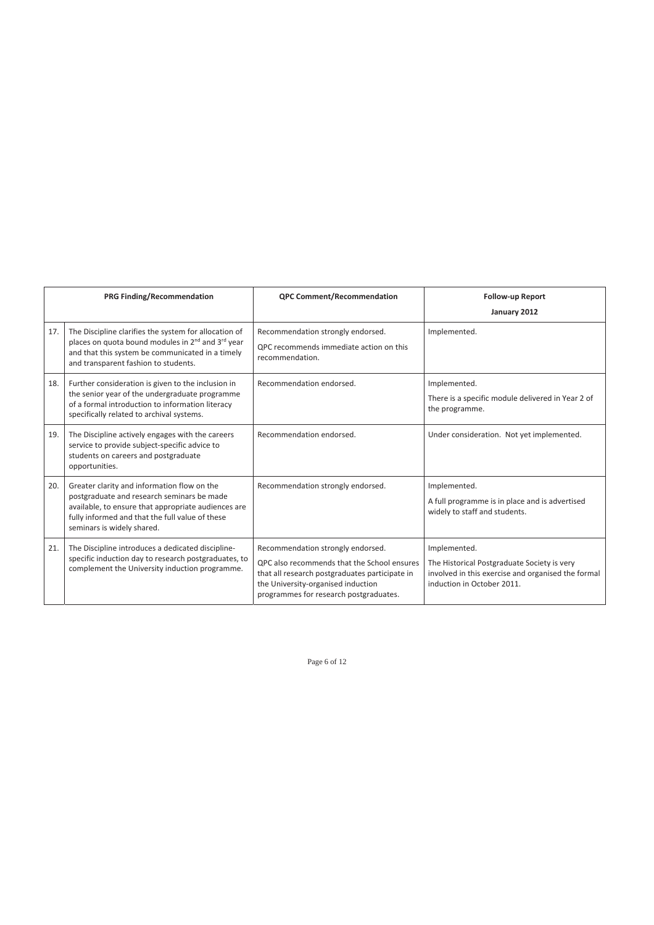|     | <b>PRG Finding/Recommendation</b>                                                                                                                                                                                                 | <b>QPC Comment/Recommendation</b>                                                                                                                                                                                  | <b>Follow-up Report</b><br>January 2012                                                                                                         |
|-----|-----------------------------------------------------------------------------------------------------------------------------------------------------------------------------------------------------------------------------------|--------------------------------------------------------------------------------------------------------------------------------------------------------------------------------------------------------------------|-------------------------------------------------------------------------------------------------------------------------------------------------|
| 17. | The Discipline clarifies the system for allocation of<br>places on quota bound modules in 2 <sup>nd</sup> and 3 <sup>rd</sup> year<br>and that this system be communicated in a timely<br>and transparent fashion to students.    | Recommendation strongly endorsed.<br>QPC recommends immediate action on this<br>recommendation.                                                                                                                    | Implemented.                                                                                                                                    |
| 18. | Further consideration is given to the inclusion in<br>the senior year of the undergraduate programme<br>of a formal introduction to information literacy<br>specifically related to archival systems.                             | Recommendation endorsed.                                                                                                                                                                                           | Implemented.<br>There is a specific module delivered in Year 2 of<br>the programme.                                                             |
| 19. | The Discipline actively engages with the careers<br>service to provide subject-specific advice to<br>students on careers and postgraduate<br>opportunities.                                                                       | Recommendation endorsed.                                                                                                                                                                                           | Under consideration. Not yet implemented.                                                                                                       |
| 20. | Greater clarity and information flow on the<br>postgraduate and research seminars be made<br>available, to ensure that appropriate audiences are<br>fully informed and that the full value of these<br>seminars is widely shared. | Recommendation strongly endorsed.                                                                                                                                                                                  | Implemented.<br>A full programme is in place and is advertised<br>widely to staff and students.                                                 |
| 21. | The Discipline introduces a dedicated discipline-<br>specific induction day to research postgraduates, to<br>complement the University induction programme.                                                                       | Recommendation strongly endorsed.<br>QPC also recommends that the School ensures<br>that all research postgraduates participate in<br>the University-organised induction<br>programmes for research postgraduates. | Implemented.<br>The Historical Postgraduate Society is very<br>involved in this exercise and organised the formal<br>induction in October 2011. |

Page 6 of 12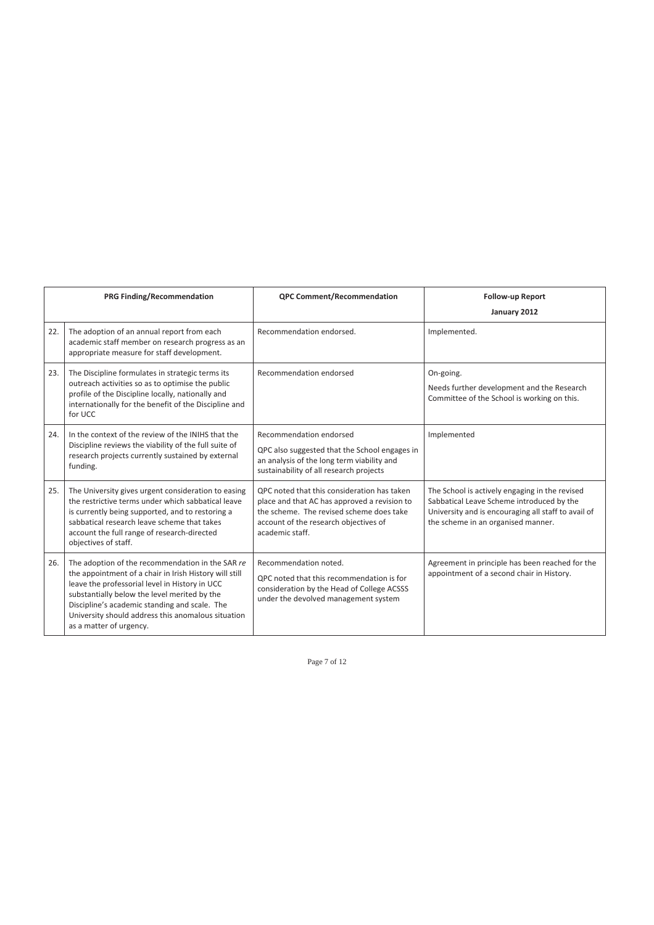|     | PRG Finding/Recommendation                                                                                                                                                                                                                                                                                                                     | <b>QPC Comment/Recommendation</b>                                                                                                                                                                   | <b>Follow-up Report</b><br>January 2012                                                                                                                                                  |
|-----|------------------------------------------------------------------------------------------------------------------------------------------------------------------------------------------------------------------------------------------------------------------------------------------------------------------------------------------------|-----------------------------------------------------------------------------------------------------------------------------------------------------------------------------------------------------|------------------------------------------------------------------------------------------------------------------------------------------------------------------------------------------|
| 22. | The adoption of an annual report from each<br>academic staff member on research progress as an<br>appropriate measure for staff development.                                                                                                                                                                                                   | Recommendation endorsed.                                                                                                                                                                            | Implemented.                                                                                                                                                                             |
| 23. | The Discipline formulates in strategic terms its<br>outreach activities so as to optimise the public<br>profile of the Discipline locally, nationally and<br>internationally for the benefit of the Discipline and<br>for UCC                                                                                                                  | Recommendation endorsed                                                                                                                                                                             | On-going.<br>Needs further development and the Research<br>Committee of the School is working on this.                                                                                   |
| 24. | In the context of the review of the INIHS that the<br>Discipline reviews the viability of the full suite of<br>research projects currently sustained by external<br>funding.                                                                                                                                                                   | Recommendation endorsed<br>QPC also suggested that the School engages in<br>an analysis of the long term viability and<br>sustainability of all research projects                                   | Implemented                                                                                                                                                                              |
| 25. | The University gives urgent consideration to easing<br>the restrictive terms under which sabbatical leave<br>is currently being supported, and to restoring a<br>sabbatical research leave scheme that takes<br>account the full range of research-directed<br>objectives of staff.                                                            | QPC noted that this consideration has taken<br>place and that AC has approved a revision to<br>the scheme. The revised scheme does take<br>account of the research objectives of<br>academic staff. | The School is actively engaging in the revised<br>Sabbatical Leave Scheme introduced by the<br>University and is encouraging all staff to avail of<br>the scheme in an organised manner. |
| 26. | The adoption of the recommendation in the SAR re<br>the appointment of a chair in Irish History will still<br>leave the professorial level in History in UCC<br>substantially below the level merited by the<br>Discipline's academic standing and scale. The<br>University should address this anomalous situation<br>as a matter of urgency. | Recommendation noted.<br>QPC noted that this recommendation is for<br>consideration by the Head of College ACSSS<br>under the devolved management system                                            | Agreement in principle has been reached for the<br>appointment of a second chair in History.                                                                                             |

Page 7 of 12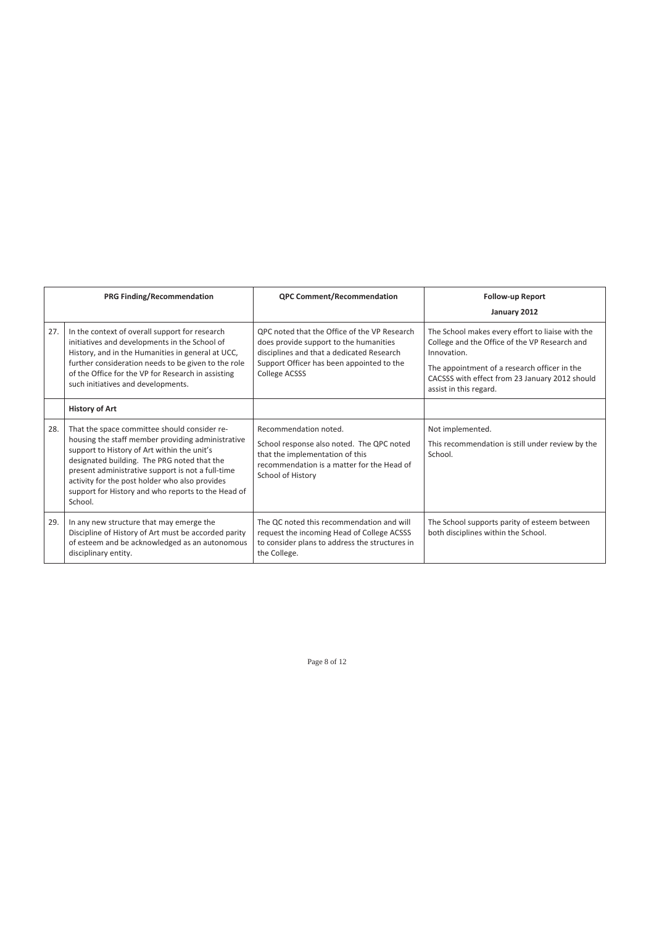|     | PRG Finding/Recommendation                                                                                                                                                                                                                                                                                                                                              | <b>QPC Comment/Recommendation</b>                                                                                                                                                                 | <b>Follow-up Report</b><br>January 2012                                                                                                                                                                                                      |
|-----|-------------------------------------------------------------------------------------------------------------------------------------------------------------------------------------------------------------------------------------------------------------------------------------------------------------------------------------------------------------------------|---------------------------------------------------------------------------------------------------------------------------------------------------------------------------------------------------|----------------------------------------------------------------------------------------------------------------------------------------------------------------------------------------------------------------------------------------------|
| 27. | In the context of overall support for research<br>initiatives and developments in the School of<br>History, and in the Humanities in general at UCC,<br>further consideration needs to be given to the role<br>of the Office for the VP for Research in assisting<br>such initiatives and developments.                                                                 | OPC noted that the Office of the VP Research<br>does provide support to the humanities<br>disciplines and that a dedicated Research<br>Support Officer has been appointed to the<br>College ACSSS | The School makes every effort to liaise with the<br>College and the Office of the VP Research and<br>Innovation.<br>The appointment of a research officer in the<br>CACSSS with effect from 23 January 2012 should<br>assist in this regard. |
|     | <b>History of Art</b>                                                                                                                                                                                                                                                                                                                                                   |                                                                                                                                                                                                   |                                                                                                                                                                                                                                              |
| 28. | That the space committee should consider re-<br>housing the staff member providing administrative<br>support to History of Art within the unit's<br>designated building. The PRG noted that the<br>present administrative support is not a full-time<br>activity for the post holder who also provides<br>support for History and who reports to the Head of<br>School. | Recommendation noted.<br>School response also noted. The QPC noted<br>that the implementation of this<br>recommendation is a matter for the Head of<br>School of History                          | Not implemented.<br>This recommendation is still under review by the<br>School.                                                                                                                                                              |
| 29. | In any new structure that may emerge the<br>Discipline of History of Art must be accorded parity<br>of esteem and be acknowledged as an autonomous<br>disciplinary entity.                                                                                                                                                                                              | The QC noted this recommendation and will<br>request the incoming Head of College ACSSS<br>to consider plans to address the structures in<br>the College.                                         | The School supports parity of esteem between<br>both disciplines within the School.                                                                                                                                                          |

Page 8 of 12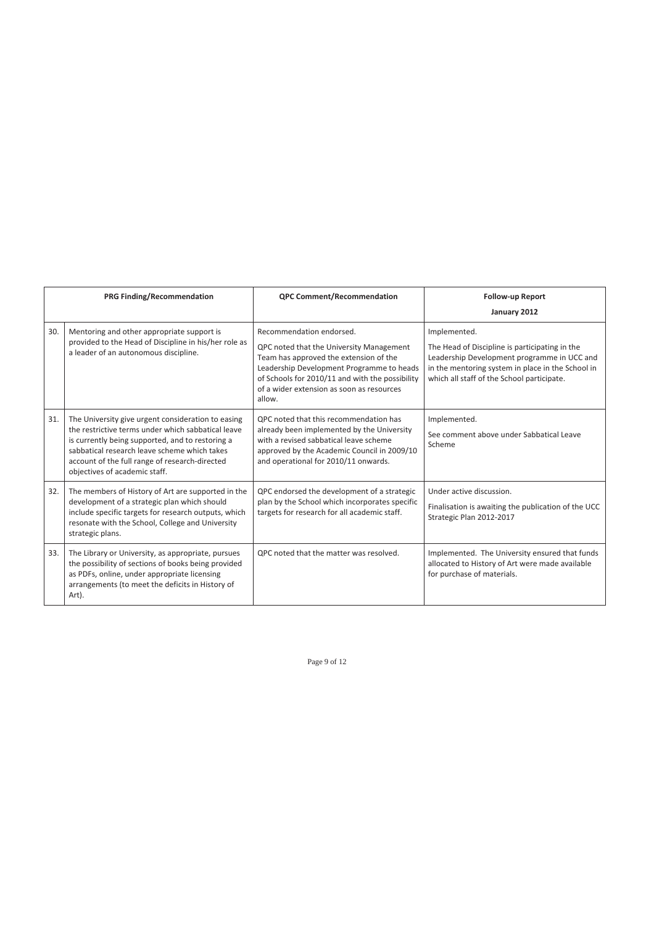|     | <b>PRG Finding/Recommendation</b>                                                                                                                                                                                                                                                               | <b>QPC Comment/Recommendation</b>                                                                                                                                                                                                                                     | <b>Follow-up Report</b>                                                                                                                                                                                          |
|-----|-------------------------------------------------------------------------------------------------------------------------------------------------------------------------------------------------------------------------------------------------------------------------------------------------|-----------------------------------------------------------------------------------------------------------------------------------------------------------------------------------------------------------------------------------------------------------------------|------------------------------------------------------------------------------------------------------------------------------------------------------------------------------------------------------------------|
|     |                                                                                                                                                                                                                                                                                                 |                                                                                                                                                                                                                                                                       | January 2012                                                                                                                                                                                                     |
| 30. | Mentoring and other appropriate support is<br>provided to the Head of Discipline in his/her role as<br>a leader of an autonomous discipline.                                                                                                                                                    | Recommendation endorsed.<br>QPC noted that the University Management<br>Team has approved the extension of the<br>Leadership Development Programme to heads<br>of Schools for 2010/11 and with the possibility<br>of a wider extension as soon as resources<br>allow. | Implemented.<br>The Head of Discipline is participating in the<br>Leadership Development programme in UCC and<br>in the mentoring system in place in the School in<br>which all staff of the School participate. |
| 31. | The University give urgent consideration to easing<br>the restrictive terms under which sabbatical leave<br>is currently being supported, and to restoring a<br>sabbatical research leave scheme which takes<br>account of the full range of research-directed<br>objectives of academic staff. | QPC noted that this recommendation has<br>already been implemented by the University<br>with a revised sabbatical leave scheme<br>approved by the Academic Council in 2009/10<br>and operational for 2010/11 onwards.                                                 | Implemented.<br>See comment above under Sabbatical Leave<br>Scheme                                                                                                                                               |
| 32. | The members of History of Art are supported in the<br>development of a strategic plan which should<br>include specific targets for research outputs, which<br>resonate with the School, College and University<br>strategic plans.                                                              | QPC endorsed the development of a strategic<br>plan by the School which incorporates specific<br>targets for research for all academic staff.                                                                                                                         | Under active discussion.<br>Finalisation is awaiting the publication of the UCC<br>Strategic Plan 2012-2017                                                                                                      |
| 33. | The Library or University, as appropriate, pursues<br>the possibility of sections of books being provided<br>as PDFs, online, under appropriate licensing<br>arrangements (to meet the deficits in History of<br>Art).                                                                          | QPC noted that the matter was resolved.                                                                                                                                                                                                                               | Implemented. The University ensured that funds<br>allocated to History of Art were made available<br>for purchase of materials.                                                                                  |

Page 9 of 12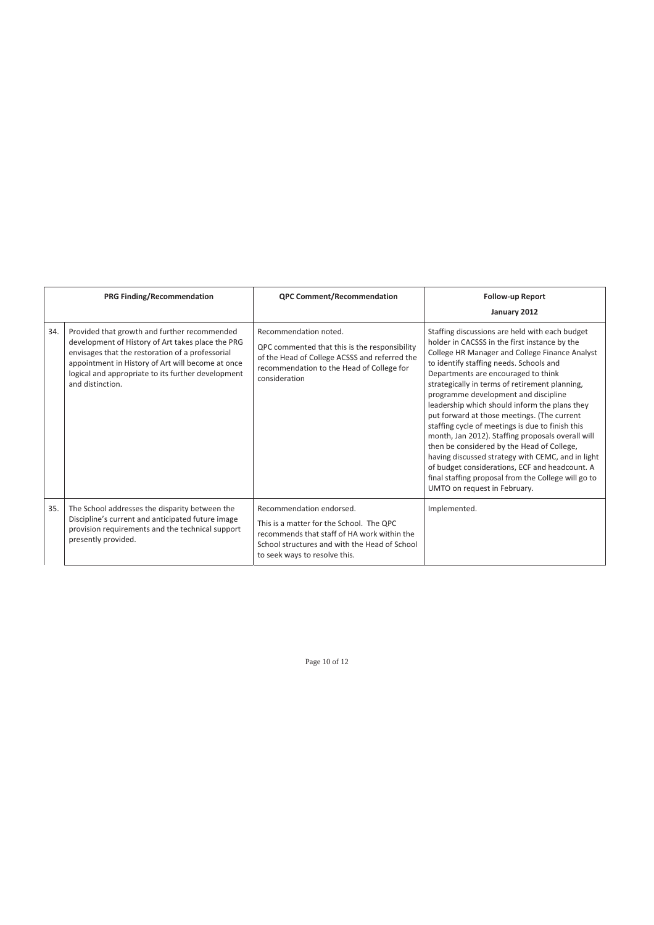|     | <b>PRG Finding/Recommendation</b>                                                                                                                                                                                                                                                    | <b>QPC Comment/Recommendation</b>                                                                                                                                                                     | <b>Follow-up Report</b><br>January 2012                                                                                                                                                                                                                                                                                                                                                                                                                                                                                                                                                                                                                                                                                                                                            |
|-----|--------------------------------------------------------------------------------------------------------------------------------------------------------------------------------------------------------------------------------------------------------------------------------------|-------------------------------------------------------------------------------------------------------------------------------------------------------------------------------------------------------|------------------------------------------------------------------------------------------------------------------------------------------------------------------------------------------------------------------------------------------------------------------------------------------------------------------------------------------------------------------------------------------------------------------------------------------------------------------------------------------------------------------------------------------------------------------------------------------------------------------------------------------------------------------------------------------------------------------------------------------------------------------------------------|
| 34. | Provided that growth and further recommended<br>development of History of Art takes place the PRG<br>envisages that the restoration of a professorial<br>appointment in History of Art will become at once<br>logical and appropriate to its further development<br>and distinction. | Recommendation noted.<br>QPC commented that this is the responsibility<br>of the Head of College ACSSS and referred the<br>recommendation to the Head of College for<br>consideration                 | Staffing discussions are held with each budget<br>holder in CACSSS in the first instance by the<br>College HR Manager and College Finance Analyst<br>to identify staffing needs. Schools and<br>Departments are encouraged to think<br>strategically in terms of retirement planning,<br>programme development and discipline<br>leadership which should inform the plans they<br>put forward at those meetings. (The current<br>staffing cycle of meetings is due to finish this<br>month, Jan 2012). Staffing proposals overall will<br>then be considered by the Head of College,<br>having discussed strategy with CEMC, and in light<br>of budget considerations, ECF and headcount. A<br>final staffing proposal from the College will go to<br>UMTO on request in February. |
| 35. | The School addresses the disparity between the<br>Discipline's current and anticipated future image<br>provision requirements and the technical support<br>presently provided.                                                                                                       | Recommendation endorsed.<br>This is a matter for the School. The QPC<br>recommends that staff of HA work within the<br>School structures and with the Head of School<br>to seek ways to resolve this. | Implemented.                                                                                                                                                                                                                                                                                                                                                                                                                                                                                                                                                                                                                                                                                                                                                                       |

Page 10 of 12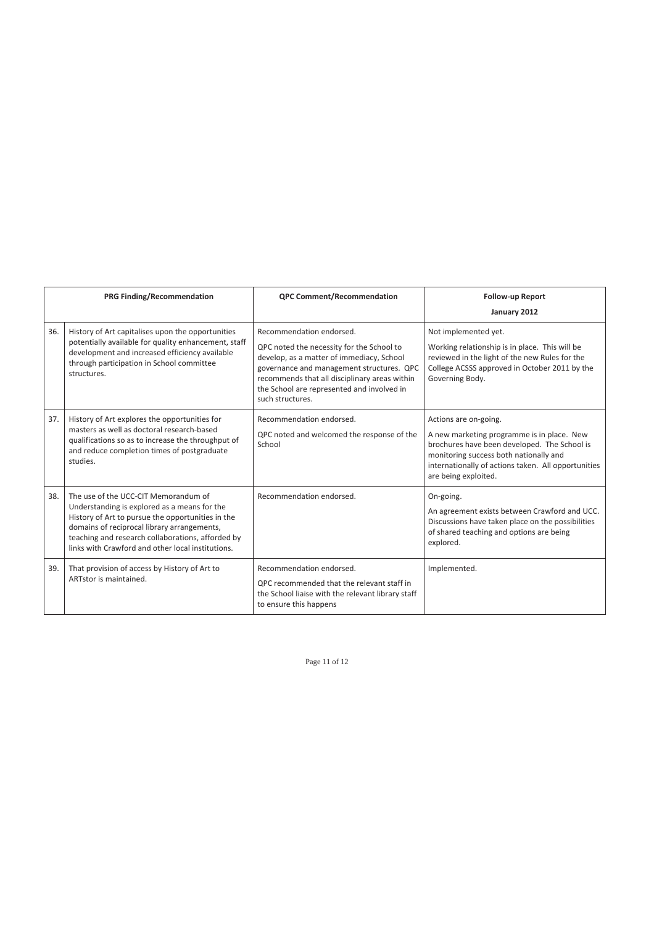|     | PRG Finding/Recommendation                                                                                                                                                                                                                                                                         | <b>QPC Comment/Recommendation</b>                                                                                                                                                                                                                                                  | <b>Follow-up Report</b><br>January 2012                                                                                                                                                                                                      |
|-----|----------------------------------------------------------------------------------------------------------------------------------------------------------------------------------------------------------------------------------------------------------------------------------------------------|------------------------------------------------------------------------------------------------------------------------------------------------------------------------------------------------------------------------------------------------------------------------------------|----------------------------------------------------------------------------------------------------------------------------------------------------------------------------------------------------------------------------------------------|
| 36. | History of Art capitalises upon the opportunities<br>potentially available for quality enhancement, staff<br>development and increased efficiency available<br>through participation in School committee<br>structures.                                                                            | Recommendation endorsed.<br>QPC noted the necessity for the School to<br>develop, as a matter of immediacy, School<br>governance and management structures. QPC<br>recommends that all disciplinary areas within<br>the School are represented and involved in<br>such structures. | Not implemented yet.<br>Working relationship is in place. This will be<br>reviewed in the light of the new Rules for the<br>College ACSSS approved in October 2011 by the<br>Governing Body.                                                 |
| 37. | History of Art explores the opportunities for<br>masters as well as doctoral research-based<br>qualifications so as to increase the throughput of<br>and reduce completion times of postgraduate<br>studies.                                                                                       | Recommendation endorsed.<br>QPC noted and welcomed the response of the<br>School                                                                                                                                                                                                   | Actions are on-going.<br>A new marketing programme is in place. New<br>brochures have been developed. The School is<br>monitoring success both nationally and<br>internationally of actions taken. All opportunities<br>are being exploited. |
| 38. | The use of the UCC-CIT Memorandum of<br>Understanding is explored as a means for the<br>History of Art to pursue the opportunities in the<br>domains of reciprocal library arrangements,<br>teaching and research collaborations, afforded by<br>links with Crawford and other local institutions. | Recommendation endorsed.                                                                                                                                                                                                                                                           | On-going.<br>An agreement exists between Crawford and UCC.<br>Discussions have taken place on the possibilities<br>of shared teaching and options are being<br>explored.                                                                     |
| 39. | That provision of access by History of Art to<br>ARTstor is maintained.                                                                                                                                                                                                                            | Recommendation endorsed.<br>QPC recommended that the relevant staff in<br>the School liaise with the relevant library staff<br>to ensure this happens                                                                                                                              | Implemented.                                                                                                                                                                                                                                 |

Page 11 of 12